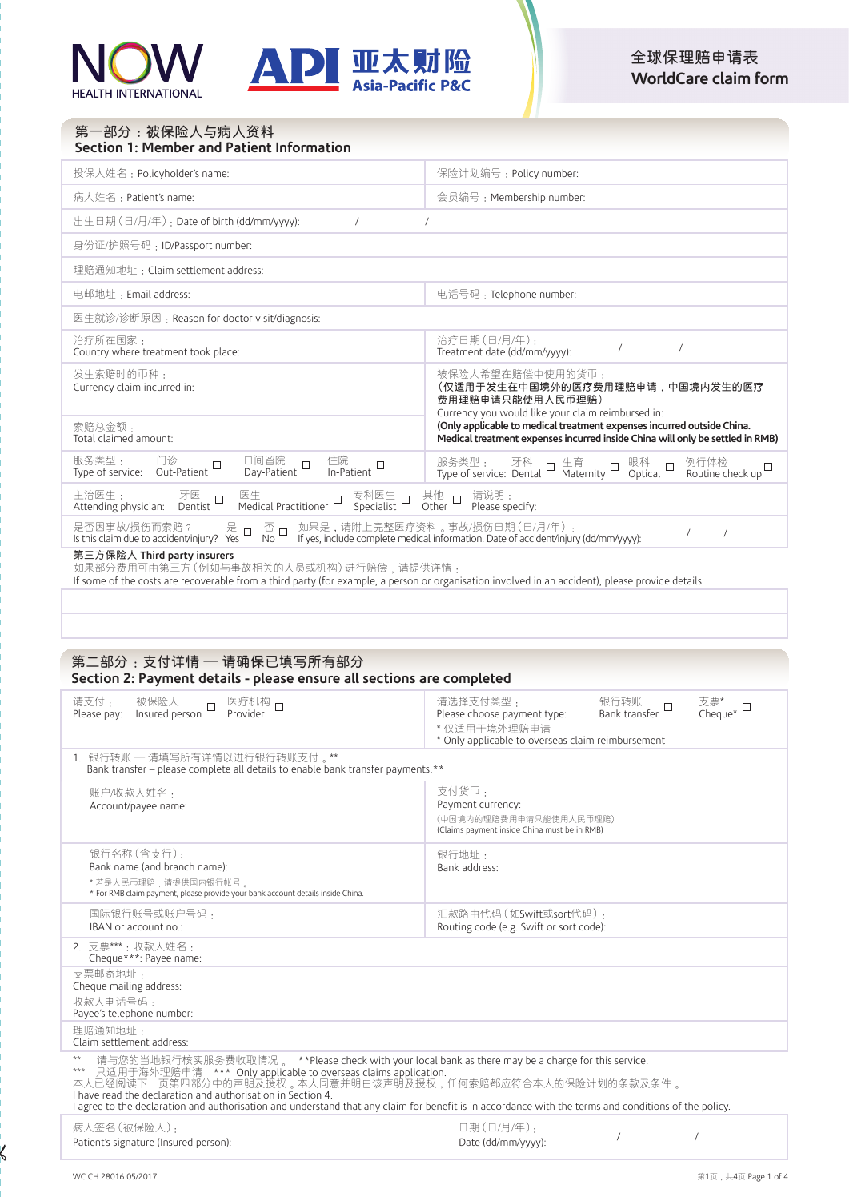

# 投保人姓名: Policyholder's name: <br>
| 保险计划编号: Policy number: 病人姓名:Patient's name: 會員編號:Membership number: 出生日期(日/月/年):Date of birth (dd/mm/yyyy): / / 身份証/護照號碼:ID/Passport number: 理賠通知地址:Claim settlement address: 电邮地址: Email address: <br>
■ 电话号码: Telephone number: 醫生就診/診斷原因:Reason for doctor visit/diagnosis: 治療所在國家: Country where treatment took place: 治療日期(日/月/年): Treatment date (dd/mm/yyyy): / / 发生索赔时的币种<sub>:</sub><br>Currency claim incurred in: 被保险人希望在赔偿中使用的货币:<br>**(仅适用于发生在中国境外的医疗费用理赔申请,中国境内发生的医疗 费用理赔申请只能使用人民币理赔**) Currency you would like your claim reimbursed in: **(Only applicable to medical treatment expenses incurred outside China. Medical treatment expenses incurred inside China will only be settled in RMB)** 索賠總金額: Total claimed amount: 服务类型 : 门诊 日间留院 口 住院<br>Type of service: Out-Patient Day-Patient In-Patient 服务类型 ; 牙科 口 生育 口 眼科 口 例行体检<br>Type of service: Dental Maternity Optical Routine check up 主治医生: 牙医 医生 专科医生 其他 请说明 :<br>Attending physician: Dentist Medical Practitioner Specialist Other Please specify: 是否因事故/损伤而索赔? 是 □ 否 □ 如果是,请附上完整医疗资料 。事故/损伤日期 ( 日/月/年 ) : /<br>Is this claim due to accident/injury? Yes No No If yes, include complete medical information. Date of accident/injury (dd/mm/yyyy): / / / / / 第一部分:被保险人与病人资料 **Section 1: Member and Patient Information**

**第三方保险人 Third party insurers**<br>如果部分费用可由第三方 (例如与事故相关的人员或机构) 进行赔偿,请提供详情:

If some of the costs are recoverable from a third party (for example, a person or organisation involved in an accident), please provide details:

## **第二部分:支付詳情 — 請確保已填寫所有部分 Section 2: Payment details - please ensure all sections are completed**

| 请支付 .<br>被保险人<br>医疗机构 口<br>$\Box$<br>Provider<br>Insured person<br>Please pay:                                                                                                                                                                                                                                                                                                                                                                                          | 请选择支付类型 .<br>支票*<br>Cheque* □<br>银行转账 口<br>Bank transfer<br>Please choose payment type:<br>*仅适用干境外理赔申请<br>* Only applicable to overseas claim reimbursement |  |  |
|-------------------------------------------------------------------------------------------------------------------------------------------------------------------------------------------------------------------------------------------------------------------------------------------------------------------------------------------------------------------------------------------------------------------------------------------------------------------------|-------------------------------------------------------------------------------------------------------------------------------------------------------------|--|--|
| 1. 银行转账 — 请填写所有详情以进行银行转账支付 。**<br>Bank transfer - please complete all details to enable bank transfer payments.**                                                                                                                                                                                                                                                                                                                                                       |                                                                                                                                                             |  |  |
| 账户/收款人姓名:<br>Account/payee name:                                                                                                                                                                                                                                                                                                                                                                                                                                        | 支付货币:<br>Payment currency:<br>(中国境内的理赔费用申请只能使用人民币理赔)<br>(Claims payment inside China must be in RMB)                                                        |  |  |
| 银行名称 (含支行):<br>Bank name (and branch name):<br>* 若是人民币理赔,请提供国内银行帐号 。<br>* For RMB claim payment, please provide your bank account details inside China.                                                                                                                                                                                                                                                                                                                 | 银行地址:<br>Bank address:                                                                                                                                      |  |  |
| 国际银行账号或账户号码 .<br>IBAN or account no.:                                                                                                                                                                                                                                                                                                                                                                                                                                   | 汇款路由代码(如Swift或sort代码):<br>Routing code (e.g. Swift or sort code):                                                                                           |  |  |
| 2. 支票***:收款人姓名:<br>Cheque***: Payee name:                                                                                                                                                                                                                                                                                                                                                                                                                               |                                                                                                                                                             |  |  |
| 支票邮寄地址:<br>Cheque mailing address:                                                                                                                                                                                                                                                                                                                                                                                                                                      |                                                                                                                                                             |  |  |
| 收款人电话号码:<br>Payee's telephone number:                                                                                                                                                                                                                                                                                                                                                                                                                                   |                                                                                                                                                             |  |  |
| 理赔通知地址:<br>Claim settlement address:                                                                                                                                                                                                                                                                                                                                                                                                                                    |                                                                                                                                                             |  |  |
| $**$<br>请与您的当地银行核实服务费收取情况 。 **Please check with your local bank as there may be a charge for this service.<br>*** 只适用于海外理赔申请 **** Only applicable to overseas claims application.<br>本人已经阅读下一页第四部分中的声明及授权 。本人同意并明白该声明及授权,任何索赔都应符合本人的保险计划的条款及条件 。<br>I have read the declaration and authorisation in Section 4.<br>I agree to the declaration and authorisation and understand that any claim for benefit is in accordance with the terms and conditions of the policy. |                                                                                                                                                             |  |  |
| $\rightarrow$ 1 $\rightarrow$ 6 $\rightarrow$ 1 $\rightarrow$ 1 $\rightarrow$ 1 $\rightarrow$ 1 $\rightarrow$                                                                                                                                                                                                                                                                                                                                                           |                                                                                                                                                             |  |  |

| 病人签名(被保险人):                           | 日期(日/月/年):         |  |
|---------------------------------------|--------------------|--|
| Patient's signature (Insured person): | Date (dd/mm/yyyy): |  |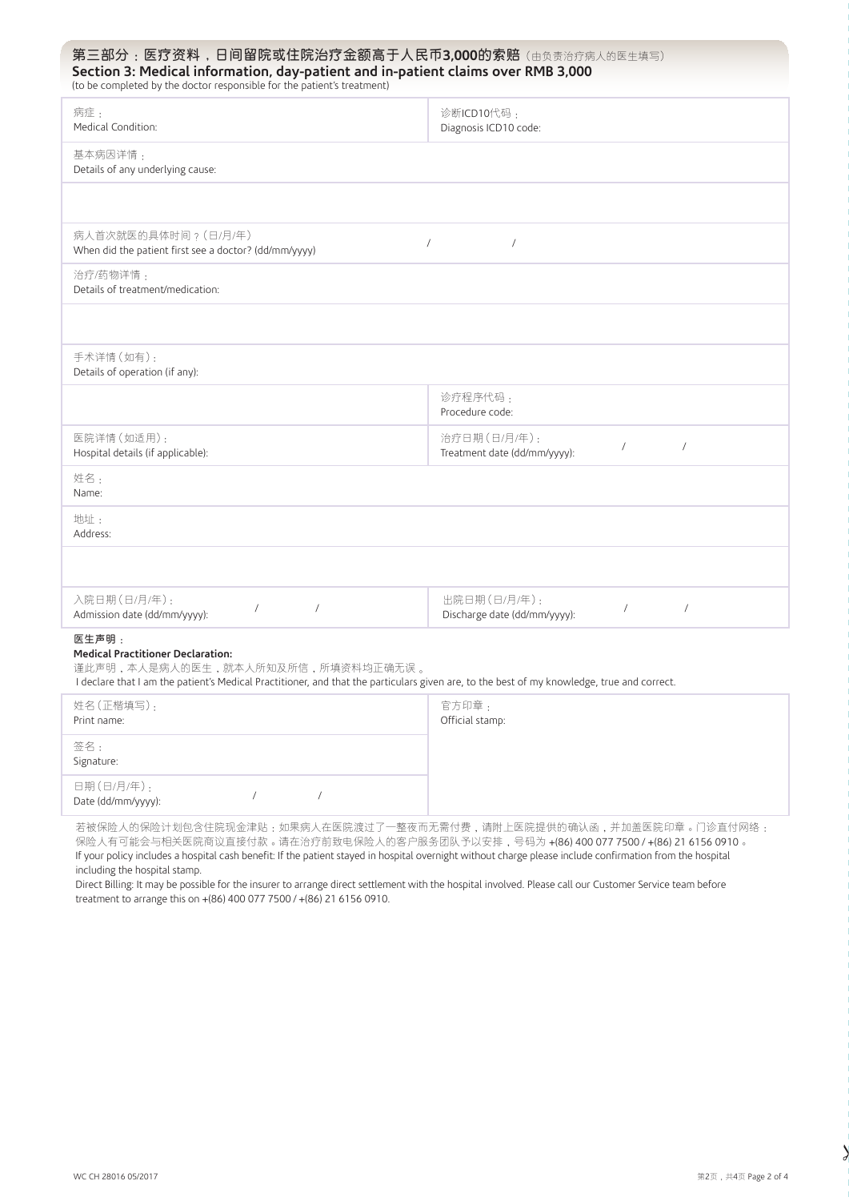# 第三部分: 医疗资料,日间留院或住院治疗金额高于人民币3,000的索赔(由负责治疗病人的医生填写) **Section 3: Medical information, day-patient and in-patient claims over RMB 3,000**

| (to be completed by the doctor responsible for the patient's treatment)                                                                                                                                                              |                                                                          |  |
|--------------------------------------------------------------------------------------------------------------------------------------------------------------------------------------------------------------------------------------|--------------------------------------------------------------------------|--|
| 病症:<br>Medical Condition:                                                                                                                                                                                                            | 诊断ICD10代码:<br>Diagnosis ICD10 code:                                      |  |
| 基本病因详情:<br>Details of any underlying cause:                                                                                                                                                                                          |                                                                          |  |
|                                                                                                                                                                                                                                      |                                                                          |  |
| 病人首次就医的具体时间? (日/月/年)<br>When did the patient first see a doctor? (dd/mm/yyyy)                                                                                                                                                        | $\sqrt{ }$<br>$\sqrt{2}$                                                 |  |
| 治疗/药物详情:<br>Details of treatment/medication:                                                                                                                                                                                         |                                                                          |  |
|                                                                                                                                                                                                                                      |                                                                          |  |
| 手术详情 (如有):<br>Details of operation (if any):                                                                                                                                                                                         |                                                                          |  |
|                                                                                                                                                                                                                                      | 诊疗程序代码:<br>Procedure code:                                               |  |
| 医院详情 (如适用):<br>Hospital details (if applicable):                                                                                                                                                                                     | 治疗日期(日/月/年):<br>$\sqrt{2}$<br>$\sqrt{2}$<br>Treatment date (dd/mm/yyyy): |  |
| 姓名:<br>Name:                                                                                                                                                                                                                         |                                                                          |  |
| 地址:<br>Address:                                                                                                                                                                                                                      |                                                                          |  |
|                                                                                                                                                                                                                                      |                                                                          |  |
| 入院日期(日/月/年):<br>$\sqrt{2}$<br>$\sqrt{2}$<br>Admission date (dd/mm/yyyy):                                                                                                                                                             | 出院日期(日/月/年):<br>$\sqrt{2}$<br>$\sqrt{2}$<br>Discharge date (dd/mm/yyyy): |  |
| 医生声明:<br><b>Medical Practitioner Declaration:</b><br>谨此声明,本人是病人的医生,就本人所知及所信,所填资料均正确无误。<br>I declare that I am the patient's Medical Practitioner, and that the particulars given are, to the best of my knowledge, true and correct. |                                                                          |  |
| 姓名(正楷填写):                                                                                                                                                                                                                            | 官方印章:                                                                    |  |

| 姓名(正楷填写):<br>Print name:         |  | 官方印章:<br>Official stamp: |
|----------------------------------|--|--------------------------|
| 签名:<br>Signature:                |  |                          |
| 日期(日/月/年):<br>Date (dd/mm/yyyy): |  |                          |

若被保险人的保险计划包含住院现金津贴:如果病人在医院渡过了一整夜而无需付费,请附上医院提供的确认函,并加盖医院印章。门诊直付网络: 保险人有可能会与相关医院商议直接付款。请在治疗前致电保险人的客户服务团队予以安排,号码为 +(86) 400 077 7500 / +(86) 21 6156 0910。 If your policy includes a hospital cash benefit: If the patient stayed in hospital overnight without charge please include confirmation from the hospital including the hospital stamp.

Direct Billing: It may be possible for the insurer to arrange direct settlement with the hospital involved. Please call our Customer Service team before treatment to arrange this on +(86) 400 077 7500 / +(86) 21 6156 0910.

 $\frac{1}{a}$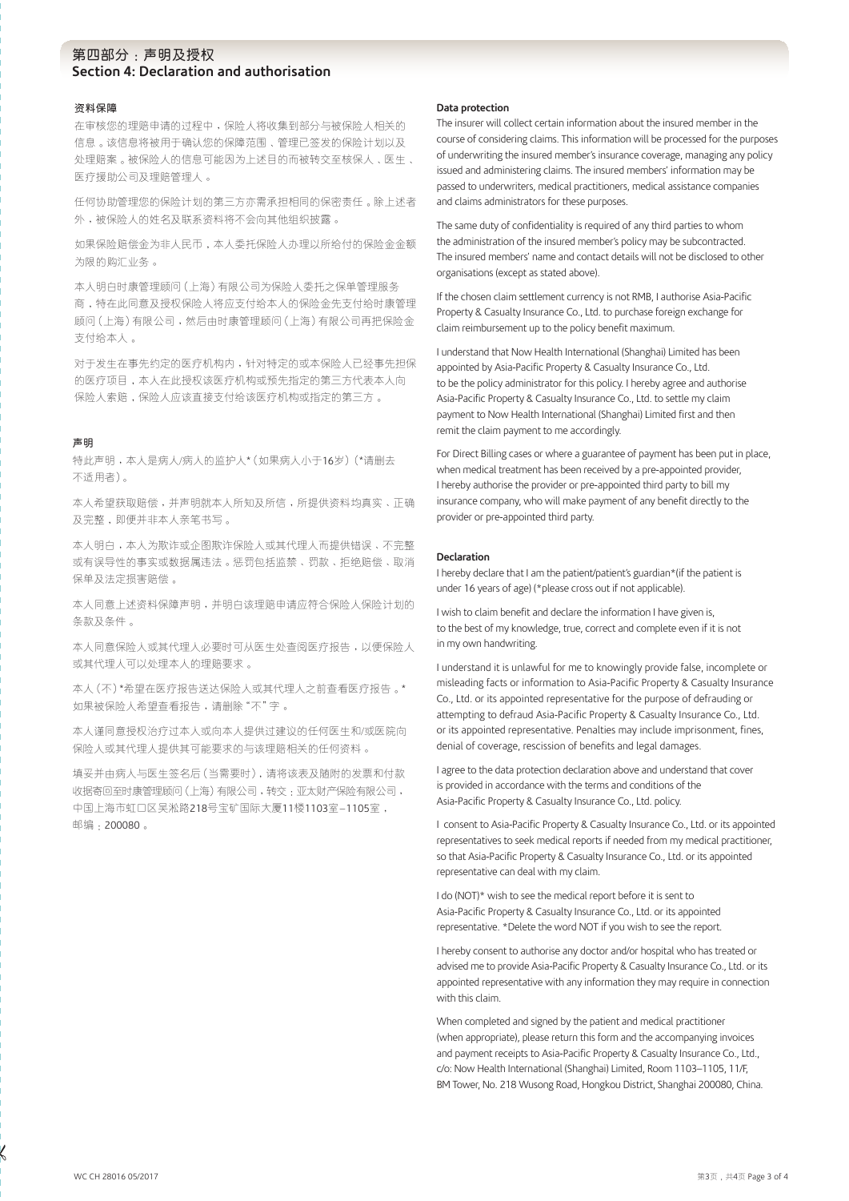## 第四部分:声明及授权 **Section 4: Declaration and authorisation**

#### **資料保障**

在审核您的理赔申请的过程中,保险人将收集到部分与被保险人相关的 信息。该信息将被用于确认您的保障范围、管理已签发的保险计划以及 处理赔案。被保险人的信息可能因为上述目的而被转交至核保人、医生、 醫療援助公司及理賠管理人。

任何协助管理您的保险计划的第三方亦需承担相同的保密责任。除上述者 外,被保险人的姓名及联系资料将不会向其他组织披露。

如果保险赔偿金为非人民币,本人委托保险人办理以所给付的保险金金额 为限的购汇业务。

本人明白時康管理顧問(上海)有限公司為保險人委托之保單管理服務 商,特在此同意及授权保险人将应支付给本人的保险金先支付给时康管理 顧問(上海)有限公司,然后由時康管理顧問(上海)有限公司再把保險金 支付給本人。

对于发生在事先约定的医疗机构内,针对特定的或本保险人已经事先担保 的医疗项目,本人在此授权该医疗机构或预先指定的第三方代表本人向 保险人索赔,保险人应该直接支付给该医疗机构或指定的第三方。

#### **聲明**

特此声明,本人是病人/病人的监护人\*(如果病人小于16岁)(\*请删去 不適用者)。

本人希望获取赔偿,并声明就本人所知及所信,所提供资料均真实、正确 及完整,即便并非本人亲笔书写。

本人明白,本人為欺詐或企圖欺詐保險人或其代理人而提供錯誤、不完整 或有误导性的事实或数据属违法。惩罚包括监禁、罚款、拒绝赔偿、取消 保單及法定損害賠償。

本人同意上述资料保障声明,并明白该理赔申请应符合保险人保险计划的 条款及条件。

本人同意保险人或其代理人必要时可从医生处查阅医疗报告,以便保险人 或其代理人可以處理本人的理賠要求。

本人(不)\*希望在医疗报告送达保险人或其代理人之前查看医疗报告。\* 如果被保險人希望查看報告,請刪除"不"字。

本人谨同意授权治疗过本人或向本人提供过建议的任何医生和/或医院向 保险人或其代理人提供其可能要求的与该理赔相关的任何资料。

填妥并由病人与医生签名后(当需要时),请将该表及随附的发票和付款 收据寄回至时康管理顾问(上海)有限公司,转交,亚太财产保险有限公司, 中国上海市虹口区吴淞路218号宝矿国际大厦11楼1103室-1105室, 郵編:200080。

#### **Data protection**

The insurer will collect certain information about the insured member in the course of considering claims. This information will be processed for the purposes of underwriting the insured member's insurance coverage, managing any policy issued and administering claims. The insured members' information may be passed to underwriters, medical practitioners, medical assistance companies and claims administrators for these purposes.

The same duty of confidentiality is required of any third parties to whom the administration of the insured member's policy may be subcontracted. The insured members' name and contact details will not be disclosed to other organisations (except as stated above).

If the chosen claim settlement currency is not RMB, I authorise Asia-Pacific Property & Casualty Insurance Co., Ltd. to purchase foreign exchange for claim reimbursement up to the policy benefit maximum.

I understand that Now Health International (Shanghai) Limited has been appointed by Asia-Pacific Property & Casualty Insurance Co., Ltd. to be the policy administrator for this policy. I hereby agree and authorise Asia-Pacific Property & Casualty Insurance Co., Ltd. to settle my claim payment to Now Health International (Shanghai) Limited first and then remit the claim payment to me accordingly.

For Direct Billing cases or where a guarantee of payment has been put in place, when medical treatment has been received by a pre-appointed provider, I hereby authorise the provider or pre-appointed third party to bill my insurance company, who will make payment of any benefit directly to the provider or pre-appointed third party.

#### **Declaration**

I hereby declare that I am the patient/patient's guardian\*(if the patient is under 16 years of age) (\*please cross out if not applicable).

I wish to claim benefit and declare the information I have given is, to the best of my knowledge, true, correct and complete even if it is not in my own handwriting.

I understand it is unlawful for me to knowingly provide false, incomplete or misleading facts or information to Asia-Pacific Property & Casualty Insurance Co., Ltd. or its appointed representative for the purpose of defrauding or attempting to defraud Asia-Pacific Property & Casualty Insurance Co., Ltd. or its appointed representative. Penalties may include imprisonment, fines, denial of coverage, rescission of benefits and legal damages.

I agree to the data protection declaration above and understand that cover is provided in accordance with the terms and conditions of the Asia-Pacific Property & Casualty Insurance Co., Ltd. policy.

I consent to Asia-Pacific Property & Casualty Insurance Co., Ltd. or its appointed representatives to seek medical reports if needed from my medical practitioner, so that Asia-Pacific Property & Casualty Insurance Co., Ltd. or its appointed representative can deal with my claim.

I do (NOT)\* wish to see the medical report before it is sent to Asia-Pacific Property & Casualty Insurance Co., Ltd. or its appointed representative. \*Delete the word NOT if you wish to see the report.

I hereby consent to authorise any doctor and/or hospital who has treated or advised me to provide Asia-Pacific Property & Casualty Insurance Co., Ltd. or its appointed representative with any information they may require in connection with this claim.

When completed and signed by the patient and medical practitioner (when appropriate), please return this form and the accompanying invoices and payment receipts to Asia-Pacific Property & Casualty Insurance Co., Ltd., c/o: Now Health International (Shanghai) Limited, Room 1103–1105, 11/F, BM Tower, No. 218 Wusong Road, Hongkou District, Shanghai 200080, China.